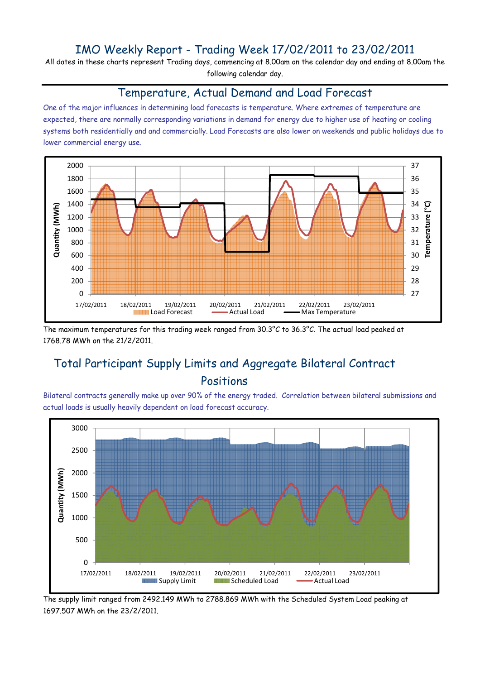## IMO Weekly Report - Trading Week 17/02/2011 to 23/02/2011

All dates in these charts represent Trading days, commencing at 8.00am on the calendar day and ending at 8.00am the following calendar day.

#### Temperature, Actual Demand and Load Forecast

One of the major influences in determining load forecasts is temperature. Where extremes of temperature are expected, there are normally corresponding variations in demand for energy due to higher use of heating or cooling systems both residentially and and commercially. Load Forecasts are also lower on weekends and public holidays due to lower commercial energy use.



The maximum temperatures for this trading week ranged from 30.3°C to 36.3°C. The actual load peaked at 1768.78 MWh on the 21/2/2011.

# Total Participant Supply Limits and Aggregate Bilateral Contract Positions

Bilateral contracts generally make up over 90% of the energy traded. Correlation between bilateral submissions and actual loads is usually heavily dependent on load forecast accuracy.



The supply limit ranged from 2492.149 MWh to 2788.869 MWh with the Scheduled System Load peaking at 1697.507 MWh on the 23/2/2011.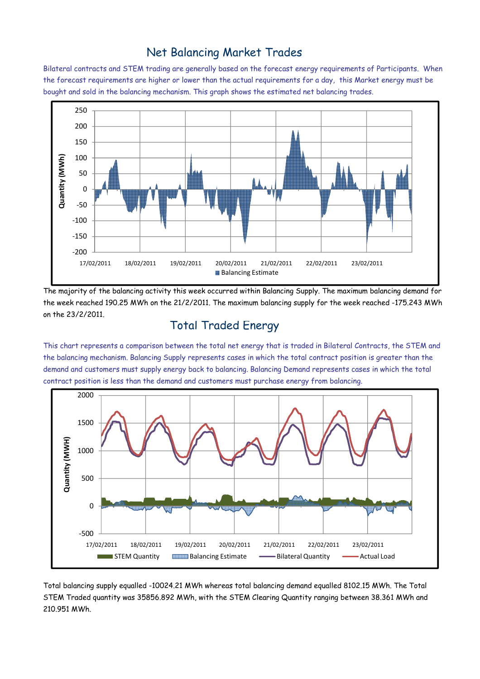### Net Balancing Market Trades

Bilateral contracts and STEM trading are generally based on the forecast energy requirements of Participants. When the forecast requirements are higher or lower than the actual requirements for a day, this Market energy must be bought and sold in the balancing mechanism. This graph shows the estimated net balancing trades.



The majority of the balancing activity this week occurred within Balancing Supply. The maximum balancing demand for the week reached 190.25 MWh on the 21/2/2011. The maximum balancing supply for the week reached -175.243 MWh on the 23/2/2011.

#### Total Traded Energy

This chart represents a comparison between the total net energy that is traded in Bilateral Contracts, the STEM and the balancing mechanism. Balancing Supply represents cases in which the total contract position is greater than the demand and customers must supply energy back to balancing. Balancing Demand represents cases in which the total contract position is less than the demand and customers must purchase energy from balancing.



Total balancing supply equalled -10024.21 MWh whereas total balancing demand equalled 8102.15 MWh. The Total STEM Traded quantity was 35856.892 MWh, with the STEM Clearing Quantity ranging between 38.361 MWh and 210.951 MWh.